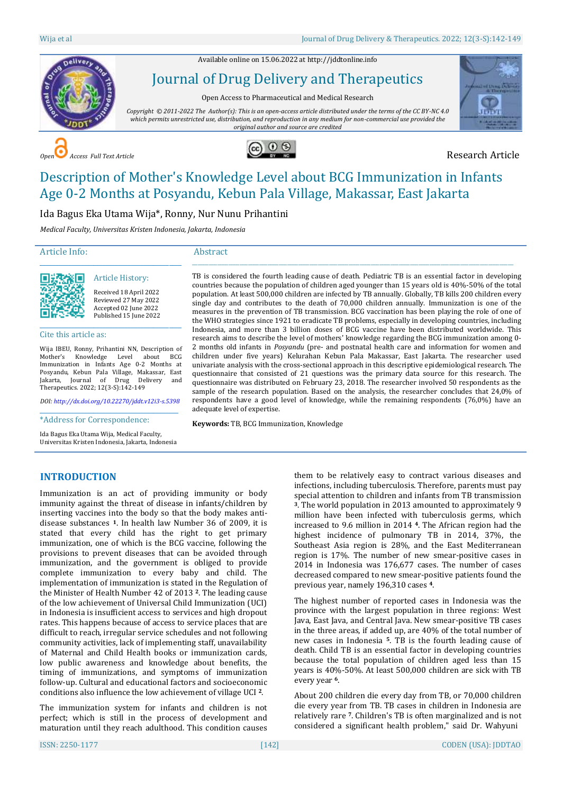Available online on 15.06.2022 a[t http://jddtonline.info](http://jddtonline.info/)



# Journal of Drug Delivery and Therapeutics

Open Access to Pharmaceutical and Medical Research

*Copyright © 2011-2022 The Author(s): This is an open-access article distributed under the terms of the CC BY-NC 4.0 which permits unrestricted use, distribution, and reproduction in any medium for non-commercial use provided the original author and source are credited*

> \_\_\_\_\_\_\_\_\_\_\_\_\_\_\_\_\_\_\_\_\_\_\_\_\_\_\_\_\_\_\_\_\_\_\_\_\_\_\_\_\_\_\_\_\_\_\_\_\_\_\_\_\_\_\_\_\_\_\_\_\_\_\_\_\_\_\_\_\_\_\_\_\_\_\_\_\_\_\_\_\_\_\_\_\_\_\_\_\_\_\_\_\_\_\_\_\_\_\_\_\_\_\_\_\_\_\_\_\_\_\_\_\_\_\_ TB is considered the fourth leading cause of death. Pediatric TB is an essential factor in developing countries because the population of children aged younger than 15 years old is 40%-50% of the total population. At least 500,000 children are infected by TB annually. Globally, TB kills 200 children every single day and contributes to the death of 70,000 children annually. Immunization is one of the measures in the prevention of TB transmission. BCG vaccination has been playing the role of one of the WHO strategies since 1921 to eradicate TB problems, especially in developing countries, including Indonesia, and more than 3 billion doses of BCG vaccine have been distributed worldwide. This research aims to describe the level of mothers' knowledge regarding the BCG immunization among 0- 2 months old infants in *Posyandu* (pre- and postnatal health care and information for women and children under five years) Kelurahan Kebun Pala Makassar, East Jakarta. The researcher used univariate analysis with the cross-sectional approach in this descriptive epidemiological research. The questionnaire that consisted of 21 questions was the primary data source for this research. The questionnaire was distributed on February 23, 2018. The researcher involved 50 respondents as the sample of the research population. Based on the analysis, the researcher concludes that 24,0% of respondents have a good level of knowledge, while the remaining respondents (76,0%) have an



**COPEN Access Full Text Article Research Article** 



# Description of Mother's Knowledge Level about BCG Immunization in Infants Age 0-2 Months at Posyandu, Kebun Pala Village, Makassar, East Jakarta

Ida Bagus Eka Utama Wija\*, Ronny, Nur Nunu Prihantini

*Medical Faculty, Universitas Kristen Indonesia, Jakarta, Indonesia*

# Article Info:

# Abstract



Received 18 April 2022 Reviewed 27 May 2022 Accepted 02 June 2022 Published 15 June 2022

#### Cite this article as:

Wija IBEU, Ronny, Prihantini NN, Description of Mother's Knowledge Level about BCG Immunization in Infants Age 0-2 Months at Posyandu, Kebun Pala Village, Makassar, East Jakarta, Journal of Drug Delivery and Therapeutics. 2022; 12(3-S):142-149

\_\_\_\_\_\_\_\_\_\_\_\_\_\_\_\_\_\_\_\_\_\_\_\_\_\_\_\_\_\_\_\_\_\_\_\_\_\_\_\_\_\_\_\_\_ Article History:

*DOI[: http://dx.doi.org/10.22270/jddt.v12i3-s.5398](http://dx.doi.org/10.22270/jddt.v12i3-s.5398)*  \_\_\_\_\_\_\_\_\_\_\_\_\_\_\_\_\_\_\_\_\_\_\_\_\_\_\_\_\_\_\_\_\_\_\_\_\_\_\_\_\_\_\_\_

\*Address for Correspondence:

Ida Bagus Eka Utama Wija, Medical Faculty, Universitas Kristen Indonesia, Jakarta, Indonesia **Keywords:** TB, BCG Immunization, Knowledge

adequate level of expertise.

# **INTRODUCTION**

Immunization is an act of providing immunity or body immunity against the threat of disease in infants/children by inserting vaccines into the body so that the body makes antidisease substances **1**. In health law Number 36 of 2009, it is stated that every child has the right to get primary immunization, one of which is the BCG vaccine, following the provisions to prevent diseases that can be avoided through immunization, and the government is obliged to provide complete immunization to every baby and child. The implementation of immunization is stated in the Regulation of the Minister of Health Number 42 of 2013 **2**. The leading cause of the low achievement of Universal Child Immunization (UCI) in Indonesia is insufficient access to services and high dropout rates. This happens because of access to service places that are difficult to reach, irregular service schedules and not following community activities, lack of implementing staff, unavailability of Maternal and Child Health books or immunization cards, low public awareness and knowledge about benefits, the timing of immunizations, and symptoms of immunization follow-up. Cultural and educational factors and socioeconomic conditions also influence the low achievement of village UCI **2**.

The immunization system for infants and children is not perfect; which is still in the process of development and maturation until they reach adulthood. This condition causes

them to be relatively easy to contract various diseases and infections, including tuberculosis. Therefore, parents must pay special attention to children and infants from TB transmission **<sup>3</sup>**. The world population in 2013 amounted to approximately 9 million have been infected with tuberculosis germs, which increased to 9.6 million in 2014 **4**. The African region had the highest incidence of pulmonary TB in 2014, 37%, the Southeast Asia region is 28%, and the East Mediterranean region is 17%. The number of new smear-positive cases in 2014 in Indonesia was 176,677 cases. The number of cases decreased compared to new smear-positive patients found the previous year, namely 196,310 cases **4**.

The highest number of reported cases in Indonesia was the province with the largest population in three regions: West Java, East Java, and Central Java. New smear-positive TB cases in the three areas, if added up, are 40% of the total number of new cases in Indonesia **5**. TB is the fourth leading cause of death. Child TB is an essential factor in developing countries because the total population of children aged less than 15 years is 40%-50%. At least 500,000 children are sick with TB every year **6**.

About 200 children die every day from TB, or 70,000 children die every year from TB. TB cases in children in Indonesia are relatively rare **7**. Children's TB is often marginalized and is not considered a significant health problem," said Dr. Wahyuni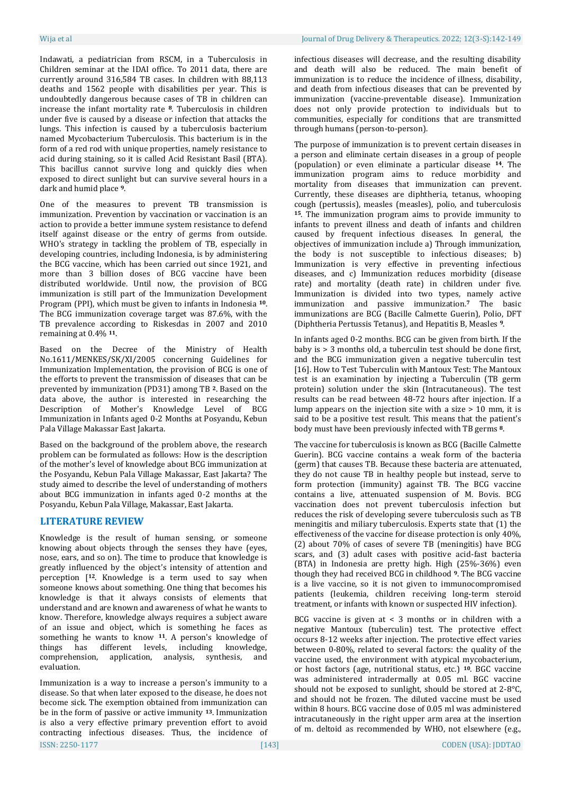Indawati, a pediatrician from RSCM, in a Tuberculosis in Children seminar at the IDAI office. To 2011 data, there are currently around 316,584 TB cases. In children with 88,113 deaths and 1562 people with disabilities per year. This is undoubtedly dangerous because cases of TB in children can increase the infant mortality rate **8**. Tuberculosis in children under five is caused by a disease or infection that attacks the lungs. This infection is caused by a tuberculosis bacterium named Mycobacterium Tuberculosis. This bacterium is in the form of a red rod with unique properties, namely resistance to acid during staining, so it is called Acid Resistant Basil (BTA). This bacillus cannot survive long and quickly dies when exposed to direct sunlight but can survive several hours in a dark and humid place **9**.

One of the measures to prevent TB transmission is immunization. Prevention by vaccination or vaccination is an action to provide a better immune system resistance to defend itself against disease or the entry of germs from outside. WHO's strategy in tackling the problem of TB, especially in developing countries, including Indonesia, is by administering the BCG vaccine, which has been carried out since 1921, and more than 3 billion doses of BCG vaccine have been distributed worldwide. Until now, the provision of BCG immunization is still part of the Immunization Development Program (PPI), which must be given to infants in Indonesia **10**. The BCG immunization coverage target was 87.6%, with the TB prevalence according to Riskesdas in 2007 and 2010 remaining at 0.4% **11**.

Based on the Decree of the Ministry of Health No.1611/MENKES/SK/XI/2005 concerning Guidelines for Immunization Implementation, the provision of BCG is one of the efforts to prevent the transmission of diseases that can be prevented by immunization (PD31) among TB **2**. Based on the data above, the author is interested in researching the Description of Mother's Knowledge Level of BCG Immunization in Infants aged 0-2 Months at Posyandu, Kebun Pala Village Makassar East Jakarta.

Based on the background of the problem above, the research problem can be formulated as follows: How is the description of the mother's level of knowledge about BCG immunization at the Posyandu, Kebun Pala Village Makassar, East Jakarta? The study aimed to describe the level of understanding of mothers about BCG immunization in infants aged 0-2 months at the Posyandu, Kebun Pala Village, Makassar, East Jakarta.

# **LITERATURE REVIEW**

Knowledge is the result of human sensing, or someone knowing about objects through the senses they have (eyes, nose, ears, and so on). The time to produce that knowledge is greatly influenced by the object's intensity of attention and perception [**12**. Knowledge is a term used to say when someone knows about something. One thing that becomes his knowledge is that it always consists of elements that understand and are known and awareness of what he wants to know. Therefore, knowledge always requires a subject aware of an issue and object, which is something he faces as something he wants to know **11**. A person's knowledge of things has different levels, including knowledge, comprehension, application, analysis, synthesis, and evaluation.

ISSN: 2250-1177 [143] CODEN (USA): JDDTAO Immunization is a way to increase a person's immunity to a disease. So that when later exposed to the disease, he does not become sick. The exemption obtained from immunization can be in the form of passive or active immunity **13**. Immunization is also a very effective primary prevention effort to avoid contracting infectious diseases. Thus, the incidence of

infectious diseases will decrease, and the resulting disability and death will also be reduced. The main benefit of immunization is to reduce the incidence of illness, disability, and death from infectious diseases that can be prevented by immunization (vaccine-preventable disease). Immunization does not only provide protection to individuals but to communities, especially for conditions that are transmitted through humans (person-to-person).

The purpose of immunization is to prevent certain diseases in a person and eliminate certain diseases in a group of people (population) or even eliminate a particular disease **14**. The immunization program aims to reduce morbidity and mortality from diseases that immunization can prevent. Currently, these diseases are diphtheria, tetanus, whooping cough (pertussis), measles (measles), polio, and tuberculosis **<sup>15</sup>**. The immunization program aims to provide immunity to infants to prevent illness and death of infants and children caused by frequent infectious diseases. In general, the objectives of immunization include a) Through immunization, the body is not susceptible to infectious diseases; b) Immunization is very effective in preventing infectious diseases, and c) Immunization reduces morbidity (disease rate) and mortality (death rate) in children under five. Immunization is divided into two types, namely active immunization and passive immunization.**<sup>7</sup>** The basic immunizations are BCG (Bacille Calmette Guerin), Polio, DFT (Diphtheria Pertussis Tetanus), and Hepatitis B, Measles **9**.

In infants aged 0-2 months. BCG can be given from birth. If the baby is > 3 months old, a tuberculin test should be done first, and the BCG immunization given a negative tuberculin test [16]. How to Test Tuberculin with Mantoux Test: The Mantoux test is an examination by injecting a Tuberculin (TB germ protein) solution under the skin (Intracutaneous). The test results can be read between 48-72 hours after injection. If a lump appears on the injection site with a size  $> 10$  mm, it is said to be a positive test result. This means that the patient's body must have been previously infected with TB germs **8**.

The vaccine for tuberculosis is known as BCG (Bacille Calmette Guerin). BCG vaccine contains a weak form of the bacteria (germ) that causes TB. Because these bacteria are attenuated, they do not cause TB in healthy people but instead, serve to form protection (immunity) against TB. The BCG vaccine contains a live, attenuated suspension of M. Bovis. BCG vaccination does not prevent tuberculosis infection but reduces the risk of developing severe tuberculosis such as TB meningitis and miliary tuberculosis. Experts state that (1) the effectiveness of the vaccine for disease protection is only 40%, (2) about 70% of cases of severe TB (meningitis) have BCG scars, and (3) adult cases with positive acid-fast bacteria (BTA) in Indonesia are pretty high. High (25%-36%) even though they had received BCG in childhood **9**. The BCG vaccine is a live vaccine, so it is not given to immunocompromised patients (leukemia, children receiving long-term steroid treatment, or infants with known or suspected HIV infection).

BCG vaccine is given at < 3 months or in children with a negative Mantoux (tuberculin) test. The protective effect occurs 8-12 weeks after injection. The protective effect varies between 0-80%, related to several factors: the quality of the vaccine used, the environment with atypical mycobacterium, or host factors (age, nutritional status, etc.) **10**. BGC vaccine was administered intradermally at 0.05 ml. BGC vaccine should not be exposed to sunlight, should be stored at 2-8°C, and should not be frozen. The diluted vaccine must be used within 8 hours. BCG vaccine dose of 0.05 ml was administered intracutaneously in the right upper arm area at the insertion of m. deltoid as recommended by WHO, not elsewhere (e.g.,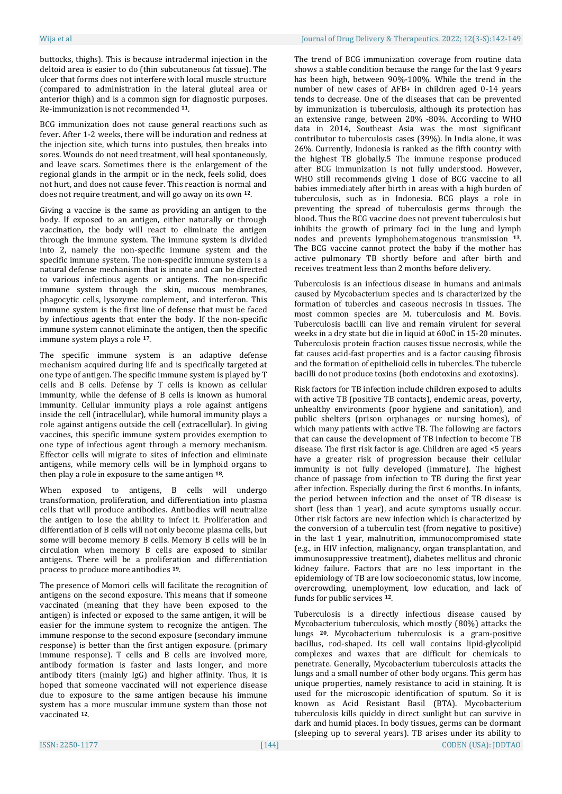buttocks, thighs). This is because intradermal injection in the deltoid area is easier to do (thin subcutaneous fat tissue). The ulcer that forms does not interfere with local muscle structure (compared to administration in the lateral gluteal area or anterior thigh) and is a common sign for diagnostic purposes. Re-immunization is not recommended **11**.

BCG immunization does not cause general reactions such as fever. After 1-2 weeks, there will be induration and redness at the injection site, which turns into pustules, then breaks into sores. Wounds do not need treatment, will heal spontaneously, and leave scars. Sometimes there is the enlargement of the regional glands in the armpit or in the neck, feels solid, does not hurt, and does not cause fever. This reaction is normal and does not require treatment, and will go away on its own **12**.

Giving a vaccine is the same as providing an antigen to the body. If exposed to an antigen, either naturally or through vaccination, the body will react to eliminate the antigen through the immune system. The immune system is divided into 2, namely the non-specific immune system and the specific immune system. The non-specific immune system is a natural defense mechanism that is innate and can be directed to various infectious agents or antigens. The non-specific immune system through the skin, mucous membranes, phagocytic cells, lysozyme complement, and interferon. This immune system is the first line of defense that must be faced by infectious agents that enter the body. If the non-specific immune system cannot eliminate the antigen, then the specific immune system plays a role **17**.

The specific immune system is an adaptive defense mechanism acquired during life and is specifically targeted at one type of antigen. The specific immune system is played by T cells and B cells. Defense by T cells is known as cellular immunity, while the defense of B cells is known as humoral immunity. Cellular immunity plays a role against antigens inside the cell (intracellular), while humoral immunity plays a role against antigens outside the cell (extracellular). In giving vaccines, this specific immune system provides exemption to one type of infectious agent through a memory mechanism. Effector cells will migrate to sites of infection and eliminate antigens, while memory cells will be in lymphoid organs to then play a role in exposure to the same antigen **18**.

When exposed to antigens, B cells will undergo transformation, proliferation, and differentiation into plasma cells that will produce antibodies. Antibodies will neutralize the antigen to lose the ability to infect it. Proliferation and differentiation of B cells will not only become plasma cells, but some will become memory B cells. Memory B cells will be in circulation when memory B cells are exposed to similar antigens. There will be a proliferation and differentiation process to produce more antibodies **19**.

The presence of Momori cells will facilitate the recognition of antigens on the second exposure. This means that if someone vaccinated (meaning that they have been exposed to the antigen) is infected or exposed to the same antigen, it will be easier for the immune system to recognize the antigen. The immune response to the second exposure (secondary immune response) is better than the first antigen exposure. (primary immune response). T cells and B cells are involved more, antibody formation is faster and lasts longer, and more antibody titers (mainly IgG) and higher affinity. Thus, it is hoped that someone vaccinated will not experience disease due to exposure to the same antigen because his immune system has a more muscular immune system than those not vaccinated **12**.

The trend of BCG immunization coverage from routine data shows a stable condition because the range for the last 9 years has been high, between 90%-100%. While the trend in the number of new cases of AFB+ in children aged 0-14 years tends to decrease. One of the diseases that can be prevented by immunization is tuberculosis, although its protection has an extensive range, between 20% -80%. According to WHO data in 2014, Southeast Asia was the most significant contributor to tuberculosis cases (39%). In India alone, it was 26%. Currently, Indonesia is ranked as the fifth country with the highest TB globally.5 The immune response produced after BCG immunization is not fully understood. However, WHO still recommends giving 1 dose of BCG vaccine to all babies immediately after birth in areas with a high burden of tuberculosis, such as in Indonesia. BCG plays a role in preventing the spread of tuberculosis germs through the blood. Thus the BCG vaccine does not prevent tuberculosis but inhibits the growth of primary foci in the lung and lymph nodes and prevents lymphohematogenous transmission **13**. The BCG vaccine cannot protect the baby if the mother has active pulmonary TB shortly before and after birth and receives treatment less than 2 months before delivery.

Tuberculosis is an infectious disease in humans and animals caused by Mycobacterium species and is characterized by the formation of tubercles and caseous necrosis in tissues. The most common species are M. tuberculosis and M. Bovis. Tuberculosis bacilli can live and remain virulent for several weeks in a dry state but die in liquid at 60oC in 15-20 minutes. Tuberculosis protein fraction causes tissue necrosis, while the fat causes acid-fast properties and is a factor causing fibrosis and the formation of epithelioid cells in tubercles. The tubercle bacilli do not produce toxins (both endotoxins and exotoxins).

Risk factors for TB infection include children exposed to adults with active TB (positive TB contacts), endemic areas, poverty, unhealthy environments (poor hygiene and sanitation), and public shelters (prison orphanages or nursing homes), of which many patients with active TB. The following are factors that can cause the development of TB infection to become TB disease. The first risk factor is age. Children are aged <5 years have a greater risk of progression because their cellular immunity is not fully developed (immature). The highest chance of passage from infection to TB during the first year after infection. Especially during the first 6 months. In infants, the period between infection and the onset of TB disease is short (less than 1 year), and acute symptoms usually occur. Other risk factors are new infection which is characterized by the conversion of a tuberculin test (from negative to positive) in the last 1 year, malnutrition, immunocompromised state (e.g., in HIV infection, malignancy, organ transplantation, and immunosuppressive treatment), diabetes mellitus and chronic kidney failure. Factors that are no less important in the epidemiology of TB are low socioeconomic status, low income, overcrowding, unemployment, low education, and lack of funds for public services **12**.

ISSN: 2250-1177 [144] CODEN (USA): JDDTAO Tuberculosis is a directly infectious disease caused by Mycobacterium tuberculosis, which mostly (80%) attacks the lungs **20**. Mycobacterium tuberculosis is a gram-positive bacillus, rod-shaped. Its cell wall contains lipid-glycolipid complexes and waxes that are difficult for chemicals to penetrate. Generally, Mycobacterium tuberculosis attacks the lungs and a small number of other body organs. This germ has unique properties, namely resistance to acid in staining. It is used for the microscopic identification of sputum. So it is known as Acid Resistant Basil (BTA). Mycobacterium tuberculosis kills quickly in direct sunlight but can survive in dark and humid places. In body tissues, germs can be dormant (sleeping up to several years). TB arises under its ability to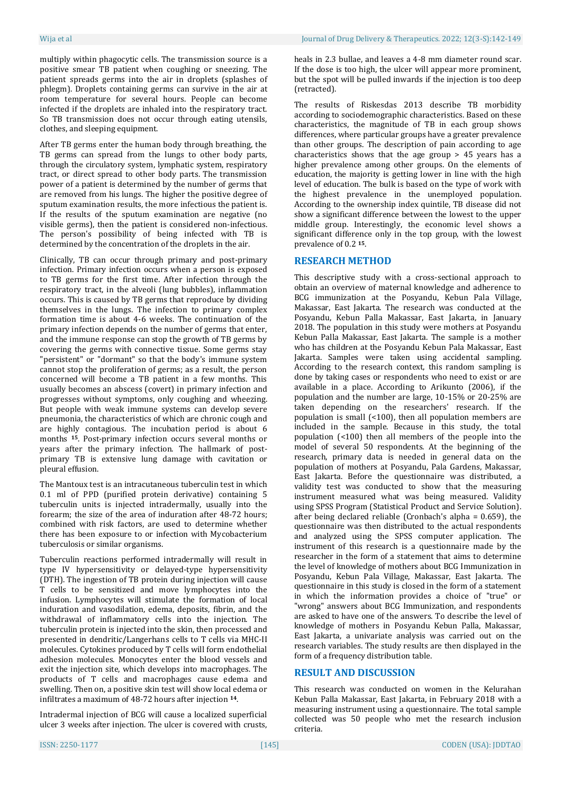multiply within phagocytic cells. The transmission source is a positive smear TB patient when coughing or sneezing. The patient spreads germs into the air in droplets (splashes of phlegm). Droplets containing germs can survive in the air at room temperature for several hours. People can become infected if the droplets are inhaled into the respiratory tract. So TB transmission does not occur through eating utensils, clothes, and sleeping equipment.

After TB germs enter the human body through breathing, the TB germs can spread from the lungs to other body parts, through the circulatory system, lymphatic system, respiratory tract, or direct spread to other body parts. The transmission power of a patient is determined by the number of germs that are removed from his lungs. The higher the positive degree of sputum examination results, the more infectious the patient is. If the results of the sputum examination are negative (no visible germs), then the patient is considered non-infectious. The person's possibility of being infected with TB is determined by the concentration of the droplets in the air.

Clinically, TB can occur through primary and post-primary infection. Primary infection occurs when a person is exposed to TB germs for the first time. After infection through the respiratory tract, in the alveoli (lung bubbles), inflammation occurs. This is caused by TB germs that reproduce by dividing themselves in the lungs. The infection to primary complex formation time is about 4-6 weeks. The continuation of the primary infection depends on the number of germs that enter, and the immune response can stop the growth of TB germs by covering the germs with connective tissue. Some germs stay "persistent" or "dormant" so that the body's immune system cannot stop the proliferation of germs; as a result, the person concerned will become a TB patient in a few months. This usually becomes an abscess (covert) in primary infection and progresses without symptoms, only coughing and wheezing. But people with weak immune systems can develop severe pneumonia, the characteristics of which are chronic cough and are highly contagious. The incubation period is about 6 months **15**. Post-primary infection occurs several months or years after the primary infection. The hallmark of postprimary TB is extensive lung damage with cavitation or pleural effusion.

The Mantoux test is an intracutaneous tuberculin test in which 0.1 ml of PPD (purified protein derivative) containing 5 tuberculin units is injected intradermally, usually into the forearm; the size of the area of induration after 48-72 hours; combined with risk factors, are used to determine whether there has been exposure to or infection with Mycobacterium tuberculosis or similar organisms.

Tuberculin reactions performed intradermally will result in type IV hypersensitivity or delayed-type hypersensitivity (DTH). The ingestion of TB protein during injection will cause T cells to be sensitized and move lymphocytes into the infusion. Lymphocytes will stimulate the formation of local induration and vasodilation, edema, deposits, fibrin, and the withdrawal of inflammatory cells into the injection. The tuberculin protein is injected into the skin, then processed and presented in dendritic/Langerhans cells to T cells via MHC-II molecules. Cytokines produced by T cells will form endothelial adhesion molecules. Monocytes enter the blood vessels and exit the injection site, which develops into macrophages. The products of T cells and macrophages cause edema and swelling. Then on, a positive skin test will show local edema or infiltrates a maximum of 48-72 hours after injection **14**.

Intradermal injection of BCG will cause a localized superficial ulcer 3 weeks after injection. The ulcer is covered with crusts,

heals in 2.3 bullae, and leaves a 4-8 mm diameter round scar. If the dose is too high, the ulcer will appear more prominent, but the spot will be pulled inwards if the injection is too deep (retracted).

The results of Riskesdas 2013 describe TB morbidity according to sociodemographic characteristics. Based on these characteristics, the magnitude of TB in each group shows differences, where particular groups have a greater prevalence than other groups. The description of pain according to age characteristics shows that the age group > 45 years has a higher prevalence among other groups. On the elements of education, the majority is getting lower in line with the high level of education. The bulk is based on the type of work with the highest prevalence in the unemployed population. According to the ownership index quintile, TB disease did not show a significant difference between the lowest to the upper middle group. Interestingly, the economic level shows a significant difference only in the top group, with the lowest prevalence of 0.2 **15**.

### **RESEARCH METHOD**

This descriptive study with a cross-sectional approach to obtain an overview of maternal knowledge and adherence to BCG immunization at the Posyandu, Kebun Pala Village, Makassar, East Jakarta. The research was conducted at the Posyandu, Kebun Palla Makassar, East Jakarta, in January 2018. The population in this study were mothers at Posyandu Kebun Palla Makassar, East Jakarta. The sample is a mother who has children at the Posyandu Kebun Pala Makassar, East Jakarta. Samples were taken using accidental sampling. According to the research context, this random sampling is done by taking cases or respondents who need to exist or are available in a place. According to Arikunto (2006), if the population and the number are large, 10-15% or 20-25% are taken depending on the researchers' research. If the population is small (<100), then all population members are included in the sample. Because in this study, the total population (<100) then all members of the people into the model of several 50 respondents. At the beginning of the research, primary data is needed in general data on the population of mothers at Posyandu, Pala Gardens, Makassar, East Jakarta. Before the questionnaire was distributed, a validity test was conducted to show that the measuring instrument measured what was being measured. Validity using SPSS Program (Statistical Product and Service Solution). after being declared reliable (Cronbach's alpha = 0.659), the questionnaire was then distributed to the actual respondents and analyzed using the SPSS computer application. The instrument of this research is a questionnaire made by the researcher in the form of a statement that aims to determine the level of knowledge of mothers about BCG Immunization in Posyandu, Kebun Pala Village, Makassar, East Jakarta. The questionnaire in this study is closed in the form of a statement in which the information provides a choice of "true" or "wrong" answers about BCG Immunization, and respondents are asked to have one of the answers. To describe the level of knowledge of mothers in Posyandu Kebun Palla, Makassar, East Jakarta, a univariate analysis was carried out on the research variables. The study results are then displayed in the form of a frequency distribution table.

### **RESULT AND DISCUSSION**

This research was conducted on women in the Kelurahan Kebun Palla Makassar, East Jakarta, in February 2018 with a measuring instrument using a questionnaire. The total sample collected was 50 people who met the research inclusion criteria.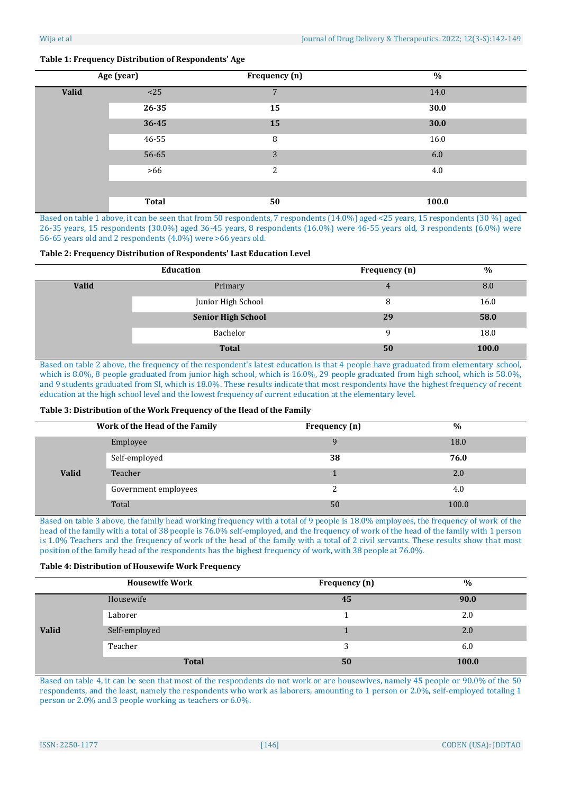# **Age (year) Frequency (n) % Valid**  $\le$  25 25 26 26 27 28 28 29 20 21 22 22 23 24.0 **26-35 15 30.0 36-45 15 30.0** 46-55 8 16.0  $56-65$  6.0  $>66$  2 4.0 **Total 50 100.0**

# **Table 1: Frequency Distribution of Respondents' Age**

Based on table 1 above, it can be seen that from 50 respondents, 7 respondents (14.0%) aged <25 years, 15 respondents (30 %) aged 26-35 years, 15 respondents (30.0%) aged 36-45 years, 8 respondents (16.0%) were 46-55 years old, 3 respondents (6.0%) were 56-65 years old and 2 respondents (4.0%) were >66 years old.

#### **Table 2: Frequency Distribution of Respondents' Last Education Level**

|              | Education                 | Frequency (n) | $\%$  |
|--------------|---------------------------|---------------|-------|
| <b>Valid</b> | Primary                   | 4             | 8.0   |
|              | Junior High School        | 8             | 16.0  |
|              | <b>Senior High School</b> | 29            | 58.0  |
|              | Bachelor                  | $\Omega$      | 18.0  |
|              | <b>Total</b>              | 50            | 100.0 |

Based on table 2 above, the frequency of the respondent's latest education is that 4 people have graduated from elementary school, which is 8.0%, 8 people graduated from junior high school, which is 16.0%, 29 people graduated from high school, which is 58.0%, and 9 students graduated from SI, which is 18.0%. These results indicate that most respondents have the highest frequency of recent education at the high school level and the lowest frequency of current education at the elementary level.

### **Table 3: Distribution of the Work Frequency of the Head of the Family**

|              | Work of the Head of the Family | Frequency (n) | $\%$  |
|--------------|--------------------------------|---------------|-------|
| <b>Valid</b> | Employee                       |               | 18.0  |
|              | Self-employed                  | 38            | 76.0  |
|              | Teacher                        |               | 2.0   |
|              | Government employees           |               | 4.0   |
|              | Total                          | 50            | 100.0 |

Based on table 3 above, the family head working frequency with a total of 9 people is 18.0% employees, the frequency of work of the head of the family with a total of 38 people is 76.0% self-employed, and the frequency of work of the head of the family with 1 person is 1.0% Teachers and the frequency of work of the head of the family with a total of 2 civil servants. These results show that most position of the family head of the respondents has the highest frequency of work, with 38 people at 76.0%.

### **Table 4: Distribution of Housewife Work Frequency**

|              | <b>Housewife Work</b> | Frequency (n) | $\%$  |
|--------------|-----------------------|---------------|-------|
| <b>Valid</b> | Housewife             | 45            | 90.0  |
|              | Laborer               |               | 2.0   |
|              | Self-employed         |               | 2.0   |
|              | Teacher               | 2             | 6.0   |
|              | <b>Total</b>          | 50            | 100.0 |

Based on table 4, it can be seen that most of the respondents do not work or are housewives, namely 45 people or 90.0% of the 50 respondents, and the least, namely the respondents who work as laborers, amounting to 1 person or 2.0%, self-employed totaling 1 person or 2.0% and 3 people working as teachers or 6.0%.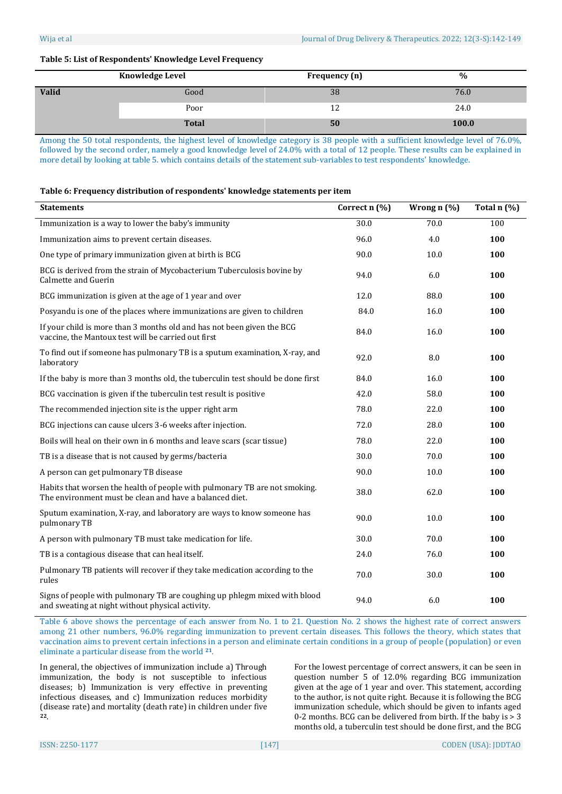## **Table 5: List of Respondents' Knowledge Level Frequency**

|       | <b>Knowledge Level</b> | Frequency (n) | $\%$  |
|-------|------------------------|---------------|-------|
| Valid | Good                   | 38            | 76.0  |
|       | Poor                   | ΤT            | 24.0  |
|       | <b>Total</b>           | 50            | 100.0 |

Among the 50 total respondents, the highest level of knowledge category is 38 people with a sufficient knowledge level of 76.0%, followed by the second order, namely a good knowledge level of 24.0% with a total of 12 people. These results can be explained in more detail by looking at table 5. which contains details of the statement sub-variables to test respondents' knowledge.

### **Table 6: Frequency distribution of respondents' knowledge statements per item**

| <b>Statements</b>                                                                                                                     | Correct n (%) | Wrong n (%) | Total n (%) |
|---------------------------------------------------------------------------------------------------------------------------------------|---------------|-------------|-------------|
| Immunization is a way to lower the baby's immunity                                                                                    | 30.0          | 70.0        | 100         |
| Immunization aims to prevent certain diseases.                                                                                        | 96.0          | 4.0         | 100         |
| One type of primary immunization given at birth is BCG                                                                                | 90.0          | 10.0        | 100         |
| BCG is derived from the strain of Mycobacterium Tuberculosis bovine by<br>Calmette and Guerin                                         | 94.0          | 6.0         | 100         |
| BCG immunization is given at the age of 1 year and over                                                                               | 12.0          | 88.0        | 100         |
| Posyandu is one of the places where immunizations are given to children                                                               | 84.0          | 16.0        | 100         |
| If your child is more than 3 months old and has not been given the BCG<br>vaccine, the Mantoux test will be carried out first         | 84.0          | 16.0        | 100         |
| To find out if someone has pulmonary TB is a sputum examination, X-ray, and<br>laboratory                                             | 92.0          | 8.0         | 100         |
| If the baby is more than 3 months old, the tuberculin test should be done first                                                       | 84.0          | 16.0        | 100         |
| BCG vaccination is given if the tuberculin test result is positive                                                                    | 42.0          | 58.0        | 100         |
| The recommended injection site is the upper right arm                                                                                 | 78.0          | 22.0        | 100         |
| BCG injections can cause ulcers 3-6 weeks after injection.                                                                            | 72.0          | 28.0        | 100         |
| Boils will heal on their own in 6 months and leave scars (scar tissue)                                                                | 78.0          | 22.0        | 100         |
| TB is a disease that is not caused by germs/bacteria                                                                                  | 30.0          | 70.0        | 100         |
| A person can get pulmonary TB disease                                                                                                 | 90.0          | 10.0        | 100         |
| Habits that worsen the health of people with pulmonary TB are not smoking.<br>The environment must be clean and have a balanced diet. | 38.0          | 62.0        | 100         |
| Sputum examination, X-ray, and laboratory are ways to know someone has<br>pulmonary TB                                                | 90.0          | 10.0        | 100         |
| A person with pulmonary TB must take medication for life.                                                                             | 30.0          | 70.0        | 100         |
| TB is a contagious disease that can heal itself.                                                                                      | 24.0          | 76.0        | 100         |
| Pulmonary TB patients will recover if they take medication according to the<br>rules                                                  | 70.0          | 30.0        | 100         |
| Signs of people with pulmonary TB are coughing up phlegm mixed with blood<br>and sweating at night without physical activity.         | 94.0          | 6.0         | 100         |

Table 6 above shows the percentage of each answer from No. 1 to 21. Question No. 2 shows the highest rate of correct answers among 21 other numbers, 96.0% regarding immunization to prevent certain diseases. This follows the theory, which states that vaccination aims to prevent certain infections in a person and eliminate certain conditions in a group of people (population) or even eliminate a particular disease from the world **21**.

In general, the objectives of immunization include a) Through immunization, the body is not susceptible to infectious diseases; b) Immunization is very effective in preventing infectious diseases, and c) Immunization reduces morbidity (disease rate) and mortality (death rate) in children under five **<sup>22</sup>**.

For the lowest percentage of correct answers, it can be seen in question number 5 of 12.0% regarding BCG immunization given at the age of 1 year and over. This statement, according to the author, is not quite right. Because it is following the BCG immunization schedule, which should be given to infants aged 0-2 months. BCG can be delivered from birth. If the baby is > 3 months old, a tuberculin test should be done first, and the BCG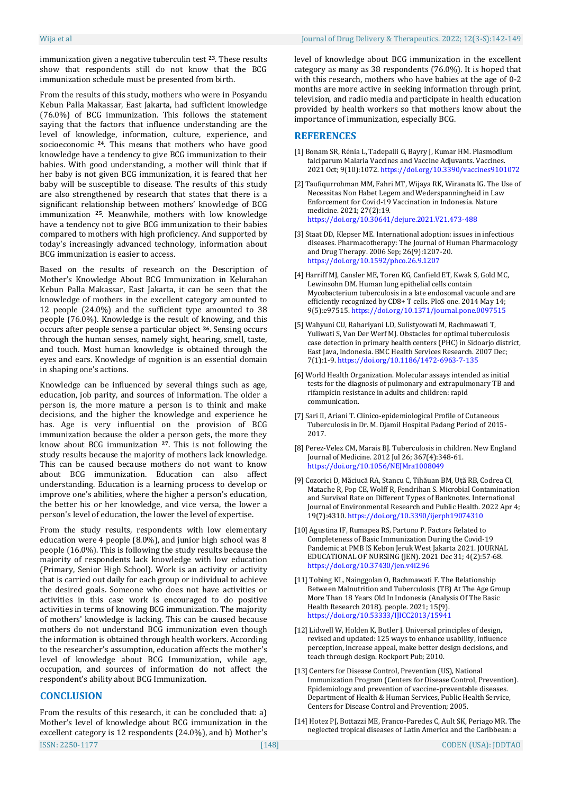immunization given a negative tuberculin test **23**. These results show that respondents still do not know that the BCG immunization schedule must be presented from birth.

From the results of this study, mothers who were in Posyandu Kebun Palla Makassar, East Jakarta, had sufficient knowledge (76.0%) of BCG immunization. This follows the statement saying that the factors that influence understanding are the level of knowledge, information, culture, experience, and socioeconomic **24**. This means that mothers who have good knowledge have a tendency to give BCG immunization to their babies. With good understanding, a mother will think that if her baby is not given BCG immunization, it is feared that her baby will be susceptible to disease. The results of this study are also strengthened by research that states that there is a significant relationship between mothers' knowledge of BCG immunization **25**. Meanwhile, mothers with low knowledge have a tendency not to give BCG immunization to their babies compared to mothers with high proficiency. And supported by today's increasingly advanced technology, information about BCG immunization is easier to access.

Based on the results of research on the Description of Mother's Knowledge About BCG Immunization in Kelurahan Kebun Palla Makassar, East Jakarta, it can be seen that the knowledge of mothers in the excellent category amounted to 12 people (24.0%) and the sufficient type amounted to 38 people (76.0%). Knowledge is the result of knowing, and this occurs after people sense a particular object **26**. Sensing occurs through the human senses, namely sight, hearing, smell, taste, and touch. Most human knowledge is obtained through the eyes and ears. Knowledge of cognition is an essential domain in shaping one's actions.

Knowledge can be influenced by several things such as age, education, job parity, and sources of information. The older a person is, the more mature a person is to think and make decisions, and the higher the knowledge and experience he has. Age is very influential on the provision of BCG immunization because the older a person gets, the more they know about BCG immunization **<sup>27</sup>**. This is not following the study results because the majority of mothers lack knowledge. This can be caused because mothers do not want to know about BCG immunization. Education can also affect understanding. Education is a learning process to develop or improve one's abilities, where the higher a person's education, the better his or her knowledge, and vice versa, the lower a person's level of education, the lower the level of expertise.

From the study results, respondents with low elementary education were 4 people (8.0%), and junior high school was 8 people (16.0%). This is following the study results because the majority of respondents lack knowledge with low education (Primary, Senior High School). Work is an activity or activity that is carried out daily for each group or individual to achieve the desired goals. Someone who does not have activities or activities in this case work is encouraged to do positive activities in terms of knowing BCG immunization. The majority of mothers' knowledge is lacking. This can be caused because mothers do not understand BCG immunization even though the information is obtained through health workers. According to the researcher's assumption, education affects the mother's level of knowledge about BCG Immunization, while age, occupation, and sources of information do not affect the respondent's ability about BCG Immunization.

# **CONCLUSION**

ISSN: 2250-1177 [148] CODEN (USA): JDDTAO From the results of this research, it can be concluded that: a) Mother's level of knowledge about BCG immunization in the excellent category is 12 respondents (24.0%), and b) Mother's

level of knowledge about BCG immunization in the excellent category as many as 38 respondents (76.0%). It is hoped that with this research, mothers who have babies at the age of 0-2 months are more active in seeking information through print, television, and radio media and participate in health education provided by health workers so that mothers know about the importance of immunization, especially BCG.

### **REFERENCES**

- [1] Bonam SR, Rénia L, Tadepalli G, Bayry J, Kumar HM. Plasmodium falciparum Malaria Vaccines and Vaccine Adjuvants. Vaccines. 2021 Oct; 9(10):1072. <https://doi.org/10.3390/vaccines9101072>
- [2] Taufiqurrohman MM, Fahri MT, Wijaya RK, Wiranata IG. The Use of Necessitas Non Habet Legem and Wederspanningheid in Law Enforcement for Covid-19 Vaccination in Indonesia. Nature medicine. 2021; 27(2):19. <https://doi.org/10.30641/dejure.2021.V21.473-488>
- [3] Staat DD, Klepser ME. International adoption: issues in infectious diseases. Pharmacotherapy: The Journal of Human Pharmacology and Drug Therapy. 2006 Sep; 26(9):1207-20. <https://doi.org/10.1592/phco.26.9.1207>
- [4] Harriff MJ, Cansler ME, Toren KG, Canfield ET, Kwak S, Gold MC, Lewinsohn DM. Human lung epithelial cells contain Mycobacterium tuberculosis in a late endosomal vacuole and are efficiently recognized by CD8+ T cells. PloS one. 2014 May 14; 9(5):e97515. <https://doi.org/10.1371/journal.pone.0097515>
- [5] Wahyuni CU, Rahariyani LD, Sulistyowati M, Rachmawati T, Yuliwati S, Van Der Werf MJ. Obstacles for optimal tuberculosis case detection in primary health centers (PHC) in Sidoarjo district, East Java, Indonesia. BMC Health Services Research. 2007 Dec; 7(1):1-9. <https://doi.org/10.1186/1472-6963-7-135>
- [6] World Health Organization. Molecular assays intended as initial tests for the diagnosis of pulmonary and extrapulmonary TB and rifampicin resistance in adults and children: rapid communication.
- [7] Sari II, Ariani T. Clinico-epidemiological Profile of Cutaneous Tuberculosis in Dr. M. Djamil Hospital Padang Period of 2015- 2017.
- [8] Perez-Velez CM, Marais BJ. Tuberculosis in children. New England Journal of Medicine. 2012 Jul 26; 367(4):348-61. <https://doi.org/10.1056/NEJMra1008049>
- [9] Cozorici D, Măciucă RA, Stancu C, Tihăuan BM, Uță RB, Codrea CI, Matache R, Pop CE, Wolff R, Fendrihan S. Microbial Contamination and Survival Rate on Different Types of Banknotes. International Journal of Environmental Research and Public Health. 2022 Apr 4; 19(7):4310. <https://doi.org/10.3390/ijerph19074310>
- [10] Agustina IF, Rumapea RS, Partono P. Factors Related to Completeness of Basic Immunization During the Covid-19 Pandemic at PMB IS Kebon Jeruk West Jakarta 2021. JOURNAL EDUCATIONAL OF NURSING (JEN). 2021 Dec 31; 4(2):57-68. <https://doi.org/10.37430/jen.v4i2.96>
- [11] Tobing KL, Nainggolan O, Rachmawati F. The Relationship Between Malnutrition and Tuberculosis (TB) At The Age Group More Than 18 Years Old In Indonesia (Analysis Of The Basic Health Research 2018). people. 2021; 15(9). <https://doi.org/10.53333/IJICC2013/15941>
- [12] Lidwell W, Holden K, Butler J. Universal principles of design, revised and updated: 125 ways to enhance usability, influence perception, increase appeal, make better design decisions, and teach through design. Rockport Pub; 2010.
- [13] Centers for Disease Control, Prevention (US), National Immunization Program (Centers for Disease Control, Prevention). Epidemiology and prevention of vaccine-preventable diseases. Department of Health & Human Services, Public Health Service, Centers for Disease Control and Prevention; 2005.
- [14] Hotez PJ, Bottazzi ME, Franco-Paredes C, Ault SK, Periago MR. The neglected tropical diseases of Latin America and the Caribbean: a